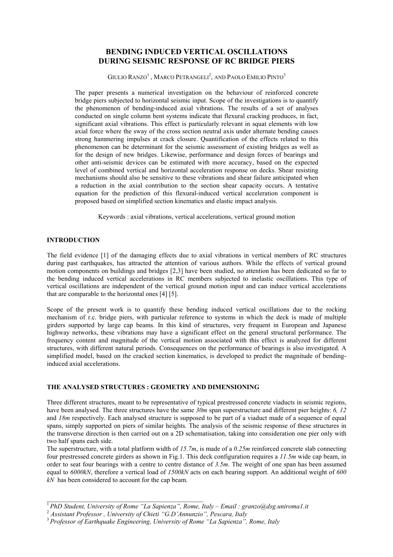# **BENDING INDUCED VERTICAL OSCILLATIONS DURING SEISMIC RESPONSE OF RC BRIDGE PIERS**

GIULIO RANZO $^1$  , Marco Petrangeli $^2$ , and Paolo Emilio Pinto $^3$ 

The paper presents a numerical investigation on the behaviour of reinforced concrete bridge piers subjected to horizontal seismic input. Scope of the investigations is to quantify the phenomenon of bending-induced axial vibrations. The results of a set of analyses conducted on single column bent systems indicate that flexural cracking produces, in fact, significant axial vibrations. This effect is particularly relevant in squat elements with low axial force where the sway of the cross section neutral axis under alternate bending causes strong hammering impulses at crack closure. Quantification of the effects related to this phenomenon can be determinant for the seismic assessment of existing bridges as well as for the design of new bridges. Likewise, performance and design forces of bearings and other anti-seismic devices can be estimated with more accuracy, based on the expected level of combined vertical and horizontal acceleration response on decks. Shear resisting mechanisms should also be sensitive to these vibrations and shear failure anticipated when a reduction in the axial contribution to the section shear capacity occurs. A tentative equation for the prediction of this flexural-induced vertical acceleration component is proposed based on simplified section kinematics and elastic impact analysis.

Keywords : axial vibrations, vertical accelerations, vertical ground motion

## **INTRODUCTION**

The field evidence [1] of the damaging effects due to axial vibrations in vertical members of RC structures during past earthquakes, has attracted the attention of various authors. While the effects of vertical ground motion components on buildings and bridges [2,3] have been studied, no attention has been dedicated so far to the bending induced vertical accelerations in RC members subjected to inelastic oscillations. This type of vertical oscillations are independent of the vertical ground motion input and can induce vertical accelerations that are comparable to the horizontal ones [4] [5].

Scope of the present work is to quantify these bending induced vertical oscillations due to the rocking mechanism of r.c. bridge piers, with particular reference to systems in which the deck is made of multiple girders supported by large cap beams. In this kind of structures, very frequent in European and Japanese highway networks, these vibrations may have a significant effect on the general structural performance. The frequency content and magnitude of the vertical motion associated with this effect is analyzed for different structures, with different natural periods. Consequences on the performance of bearings is also investigated. A simplified model, based on the cracked section kinematics, is developed to predict the magnitude of bendinginduced axial accelerations.

## **THE ANALYSED STRUCTURES : GEOMETRY AND DIMENSIONING**

Three different structures, meant to be representative of typical prestressed concrete viaducts in seismic regions, have been analysed. The three structures have the same *30m* span superstructure and different pier heights: *6, 12* and *18m* respectively. Each analysed structure is supposed to be part of a viaduct made of a sequence of equal spans, simply supported on piers of similar heights. The analysis of the seismic response of these structures in the transverse direction is then carried out on a 2D schematisation, taking into consideration one pier only with two half spans each side.

The superstructure, with a total platform width of *15.7m*, is made of a *0.25m* reinforced concrete slab connecting four prestressed concrete girders as shown in Fig.1. This deck configuration requires a *11.5m* wide cap beam, in order to seat four bearings with a centre to centre distance of *3.5m*. The weight of one span has been assumed equal to *6000kN*, therefore a vertical load of *1500kN* acts on each bearing support. An additional weight of *600 kN* has been considered to account for the cap beam.

 $\mathcal{L}_\text{max}$  and  $\mathcal{L}_\text{max}$  and  $\mathcal{L}_\text{max}$  and  $\mathcal{L}_\text{max}$  and  $\mathcal{L}_\text{max}$ 

<sup>1</sup> *PhD Student, University of Rome "La Sapienza", Rome, Italy – Email : granzo@dsg.uniroma1.it* 

<sup>2</sup>  *Assistant Professor , University of Chieti "G.D'Annunzio", Pescara, Italy* 

<sup>3</sup> *Professor of Earthquake Engineering, University of Rome "La Sapienza", Rome, Italy*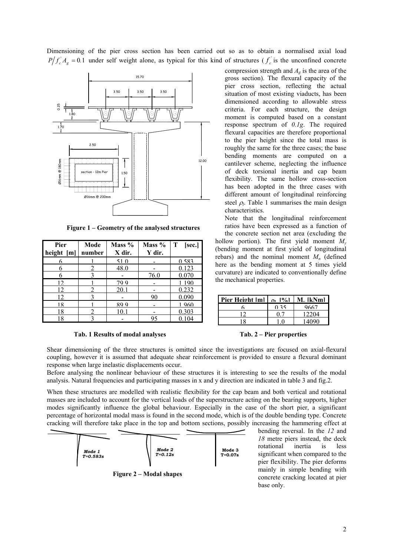Dimensioning of the pier cross section has been carried out so as to obtain a normalised axial load  $P/f'_c A_g = 0.1$  under self weight alone, as typical for this kind of structures ( $f'_c$  is the unconfined concrete



**Figure 1 – Geometry of the analysed structures** 

| Pier         | Mode   | Mass % | Mass % | Т<br>[sec.] |
|--------------|--------|--------|--------|-------------|
| height $[m]$ | number | X dir. | Y dir. |             |
| 6            |        | 51.0   |        | 0.583       |
| 6            |        | 48.0   |        | 0.123       |
| 6            |        |        | 76.0   | 0.070       |
| 12.          |        | 799    |        | 1 1 9 0     |
| 12           |        | 20.1   |        | 0.232       |
| 12           |        |        | 90     | 0.090       |
| 18           |        | 899    |        | 1960        |
| 18           |        | 10.1   |        | 0.303       |
| 18           |        |        | 95     | 0.104       |



compression strength and *Ag* is the area of the gross section). The flexural capacity of the pier cross section, reflecting the actual situation of most existing viaducts, has been dimensioned according to allowable stress criteria. For each structure, the design moment is computed based on a constant response spectrum of *0.1g*. The required flexural capacities are therefore proportional to the pier height since the total mass is roughly the same for the three cases; the base bending moments are computed on a cantilever scheme, neglecting the influence of deck torsional inertia and cap beam flexibility. The same hollow cross-section has been adopted in the three cases with different amount of longitudinal reinforcing steel  $\rho_l$ . Table 1 summarises the main design characteristics.

Note that the longitudinal reinforcement ratios have been expressed as a function of the concrete section net area (excluding the

hollow portion). The first yield moment *My* (bending moment at first yield of longitudinal rebars) and the nominal moment  $M_n$  (defined here as the bending moment at 5 times yield curvature) are indicated to conventionally define the mechanical properties.

| Pier Height [m] | $\rho_1$ [%] | M. IkNml |
|-----------------|--------------|----------|
|                 | 0.35         | 9667     |
|                 |              | 12204    |
| ହ               |              | 14090    |

Shear dimensioning of the three structures is omitted since the investigations are focused on axial-flexural coupling, however it is assumed that adequate shear reinforcement is provided to ensure a flexural dominant response when large inelastic displacements occur.

Before analysing the nonlinear behaviour of these structures it is interesting to see the results of the modal analysis. Natural frequencies and participating masses in x and y direction are indicated in table 3 and fig.2.

When these structures are modelled with realistic flexibility for the cap beam and both vertical and rotational masses are included to account for the vertical loads of the superstructure acting on the bearing supports, higher modes significantly influence the global behaviour. Especially in the case of the short pier, a significant percentage of horizontal modal mass is found in the second mode, which is of the double bending type. Concrete cracking will therefore take place in the top and bottom sections, possibly increasing the hammering effect at



bending reversal. In the *12* and *18* metre piers instead, the deck rotational inertia is less significant when compared to the pier flexibility. The pier deforms mainly in simple bending with concrete cracking located at pier base only.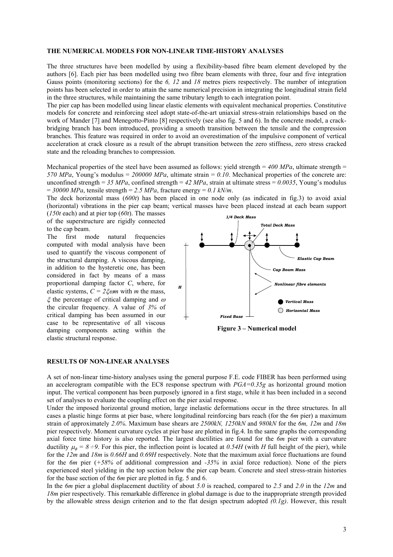#### **THE NUMERICAL MODELS FOR NON-LINEAR TIME-HISTORY ANALYSES**

The three structures have been modelled by using a flexibility-based fibre beam element developed by the authors [6]. Each pier has been modelled using two fibre beam elements with three, four and five integration Gauss points (monitoring sections) for the *6, 12* and *18* metres piers respectively. The number of integration points has been selected in order to attain the same numerical precision in integrating the longitudinal strain field in the three structures, while maintaining the same tributary length to each integration point.

The pier cap has been modelled using linear elastic elements with equivalent mechanical properties. Constitutive models for concrete and reinforcing steel adopt state-of-the-art uniaxial stress-strain relationships based on the work of Mander [7] and Menegotto-Pinto [8] respectively (see also fig. 5 and 6). In the concrete model, a crackbridging branch has been introduced, providing a smooth transition between the tensile and the compression branches. This feature was required in order to avoid an overestimation of the impulsive component of vertical acceleration at crack closure as a result of the abrupt transition between the zero stiffness, zero stress cracked state and the reloading branches to compression.

Mechanical properties of the steel have been assumed as follows: yield strength =  $400$  MPa, ultimate strength = *570 MPa*, Young's modulus = *200000 MPa*, ultimate strain = *0.10*. Mechanical properties of the concrete are: unconfined strength =  $35 MPa$ , confined strength =  $42 MPa$ , strain at ultimate stress =  $0.0035$ , Young's modulus  $= 30000 \text{ MPa}$ , tensile strength  $= 2.5 \text{ MPa}$ , fracture energy  $= 0.1 \text{ kN/m}$ .

The deck horizontal mass (*600t*) has been placed in one node only (as indicated in fig.3) to avoid axial (horizontal) vibrations in the pier cap beam; vertical masses have been placed instead at each beam support

(*150t* each) and at pier top (*60t*). The masses of the superstructure are rigidly connected to the cap beam.

The first mode natural frequencies computed with modal analysis have been used to quantify the viscous component of the structural damping. A viscous damping, in addition to the hysteretic one, has been considered in fact by means of a mass proportional damping factor *C*, where, for elastic systems,  $C = 2\zeta \omega m$  with *m* the mass,  $\xi$  the percentage of critical damping and  $\omega$ the circular frequency. A value of *3%* of critical damping has been assumed in our case to be representative of all viscous damping components acting within the elastic structural response.



**Figure 3 – Numerical model** 

#### **RESULTS OF NON-LINEAR ANALYSES**

A set of non-linear time-history analyses using the general purpose F.E. code FIBER has been performed using an accelerogram compatible with the EC8 response spectrum with *PGA=0.35g* as horizontal ground motion input. The vertical component has been purposely ignored in a first stage, while it has been included in a second set of analyses to evaluate the coupling effect on the pier axial response.

Under the imposed horizontal ground motion, large inelastic deformations occur in the three structures. In all cases a plastic hinge forms at pier base, where longitudinal reinforcing bars reach (for the *6m* pier) a maximum strain of approximately *2.0%*. Maximum base shears are *2500kN, 1250kN* and *980kN* for the *6m, 12m* and *18m* pier respectively. Moment curvature cycles at pier base are plotted in fig.4. In the same graphs the corresponding axial force time history is also reported. The largest ductilities are found for the *6m* pier with a curvature ductility  $\mu_{\phi} = \delta \div 9$ . For this pier, the inflection point is located at *0.54H* (with *H* full height of the pier), while for the *12m* and *18m* is *0.66H* and *0.69H* respectively. Note that the maximum axial force fluctuations are found for the *6m* pier (*+58%* of additional compression and *-35%* in axial force reduction). None of the piers experienced steel yielding in the top section below the pier cap beam. Concrete and steel stress-strain histories for the base section of the *6m* pier are plotted in fig. 5 and 6.

In the *6m* pier a global displacement ductility of about *5.0* is reached, compared to *2.5* and *2.0* in the *12m* and *18m* pier respectively. This remarkable difference in global damage is due to the inappropriate strength provided by the allowable stress design criterion and to the flat design spectrum adopted *(0.1g)*. However, this result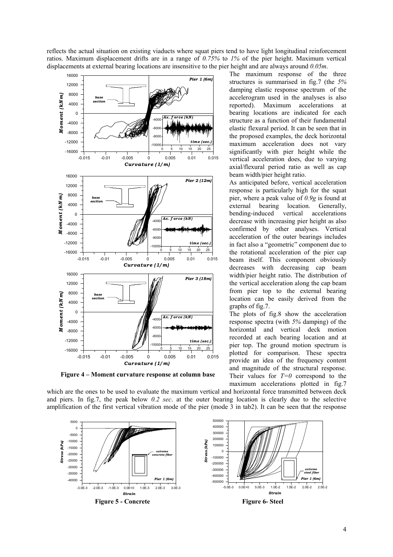reflects the actual situation on existing viaducts where squat piers tend to have light longitudinal reinforcement ratios. Maximum displacement drifts are in a range of *0.75%* to *1%* of the pier height. Maximum vertical displacements at external bearing locations are insensitive to the pier height and are always around *0.05m*.



**Figure 4 – Moment curvature response at column base** 

The maximum response of the three structures is summarised in fig.7 (the *5%* damping elastic response spectrum of the accelerogram used in the analyses is also reported). Maximum accelerations at bearing locations are indicated for each structure as a function of their fundamental elastic flexural period. It can be seen that in the proposed examples, the deck horizontal maximum acceleration does not vary significantly with pier height while the vertical acceleration does, due to varying axial/flexural period ratio as well as cap beam width/pier height ratio.

As anticipated before, vertical acceleration response is particularly high for the squat pier, where a peak value of *0.9g* is found at external bearing location. Generally, bending-induced vertical accelerations decrease with increasing pier height as also confirmed by other analyses. Vertical acceleration of the outer bearings includes in fact also a "geometric" component due to the rotational acceleration of the pier cap beam itself. This component obviously decreases with decreasing cap beam width/pier height ratio. The distribution of the vertical acceleration along the cap beam from pier top to the external bearing location can be easily derived from the graphs of fig.7.

The plots of fig.8 show the acceleration response spectra (with *5%* damping) of the horizontal and vertical deck motion recorded at each bearing location and at pier top. The ground motion spectrum is plotted for comparison. These spectra provide an idea of the frequency content and magnitude of the structural response. Their values for  $T=0$  correspond to the maximum accelerations plotted in fig.7

which are the ones to be used to evaluate the maximum vertical and horizontal force transmitted between deck and piers. In fig.7, the peak below *0.2 sec*. at the outer bearing location is clearly due to the selective amplification of the first vertical vibration mode of the pier (mode 3 in tab2). It can be seen that the response

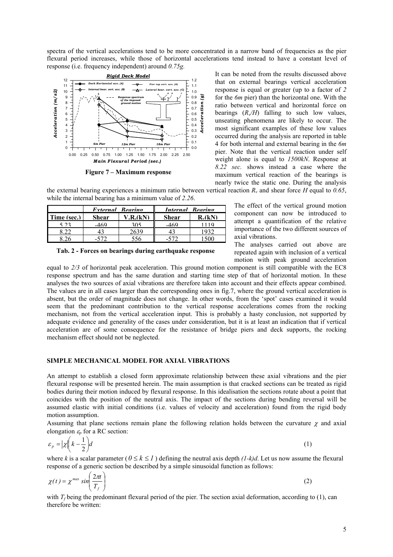spectra of the vertical accelerations tend to be more concentrated in a narrow band of frequencies as the pier flexural period increases, while those of horizontal accelerations tend instead to have a constant level of response (i.e. frequency independent) around *0.75g.*



**Figure 7 – Maximum response** 

It can be noted from the results discussed above that on external bearings vertical acceleration response is equal or greater (up to a factor of *2* for the *6m* pier) than the horizontal one. With the ratio between vertical and horizontal force on bearings  $(R_v/H)$  falling to such low values, unseating phenomena are likely to occur. The most significant examples of these low values occurred during the analysis are reported in table 4 for both internal and external bearing in the *6m* pier. Note that the vertical reaction under self weight alone is equal to *1500kN*. Response at *8.22 sec.* shows instead a case where the maximum vertical reaction of the bearings is nearly twice the static one. During the analysis

the external bearing experiences a minimum ratio between vertical reaction  $R<sub>v</sub>$  and shear force *H* equal to 0.65, while the internal bearing has a minimum value of *2.26*.

|             | External Rearing |          | Internal Rearing |          |
|-------------|------------------|----------|------------------|----------|
| Time (sec.) | <b>Shear</b>     | V.R.(kN) | <b>Shear</b>     | $R$ (kN) |
| 5 フス        | $-469$           | 305      | $-469$           |          |
|             |                  |          |                  |          |
|             |                  |          |                  |          |

**Tab. 2 - Forces on bearings during earthquake response** 

The effect of the vertical ground motion component can now be introduced to attempt a quantification of the relative importance of the two different sources of axial vibrations.

The analyses carried out above are repeated again with inclusion of a vertical motion with peak ground acceleration

equal to *2/3* of horizontal peak acceleration. This ground motion component is still compatible with the EC8 response spectrum and has the same duration and starting time step of that of horizontal motion. In these analyses the two sources of axial vibrations are therefore taken into account and their effects appear combined. The values are in all cases larger than the corresponding ones in fig.7, where the ground vertical acceleration is absent, but the order of magnitude does not change. In other words, from the 'spot' cases examined it would seem that the predominant contribution to the vertical response accelerations comes from the rocking mechanism, not from the vertical acceleration input. This is probably a hasty conclusion, not supported by adequate evidence and generality of the cases under consideration, but it is at least an indication that if vertical acceleration are of some consequence for the resistance of bridge piers and deck supports, the rocking mechanism effect should not be neglected.

## **SIMPLE MECHANICAL MODEL FOR AXIAL VIBRATIONS**

An attempt to establish a closed form approximate relationship between these axial vibrations and the pier flexural response will be presented herein. The main assumption is that cracked sections can be treated as rigid bodies during their motion induced by flexural response. In this idealisation the sections rotate about a point that coincides with the position of the neutral axis. The impact of the sections during bending reversal will be assumed elastic with initial conditions (i.e. values of velocity and acceleration) found from the rigid body motion assumption.

Assuming that plane sections remain plane the following relation holds between the curvature  $\chi$  and axial elongation <sup>ε</sup>*p* for a RC section:

$$
\varepsilon_p = |\chi \left( k - \frac{1}{2} \right) d \tag{1}
$$

where *k* is a scalar parameter  $(0 \le k \le l)$  defining the neutral axis depth  $(l-k)d$ . Let us now assume the flexural response of a generic section be described by a simple sinusoidal function as follows:

$$
\chi(t) = \chi^{\text{max}} \sin\left(\frac{2\pi t}{T_f}\right) \tag{2}
$$

with  $T_f$  being the predominant flexural period of the pier. The section axial deformation, according to (1), can therefore be written: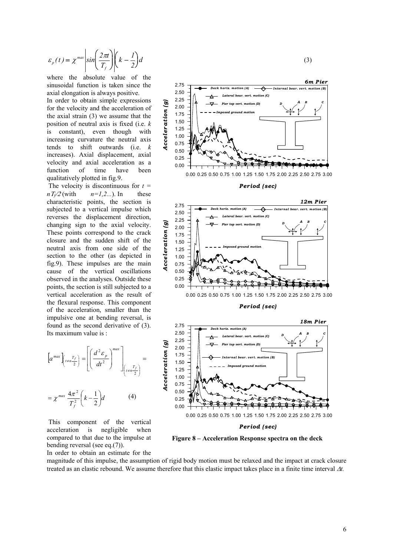$$
\varepsilon_p(t) = \chi^{\max} \left| \sin \left( \frac{2\pi t}{T_f} \right) \right| \left( k - \frac{1}{2} \right) d \tag{3}
$$

where the absolute value of the sinusoidal function is taken since the axial elongation is always positive.

In order to obtain simple expressions for the velocity and the acceleration of the axial strain (3) we assume that the position of neutral axis is fixed (i.e. *k* is constant), even though with increasing curvature the neutral axis tends to shift outwards (i.e. *k* increases). Axial displacement, axial velocity and axial acceleration as a function of time have been qualitatively plotted in fig.9.

*Acceleration (g)*

Acceleration

 $\mathcal{G}$ 

 The velocity is discontinuous for *t =*   $n \frac{T_f}{2}$  (with  $n=1,2...$ ). In these characteristic points, the section is subjected to a vertical impulse which reverses the displacement direction, changing sign to the axial velocity. These points correspond to the crack closure and the sudden shift of the neutral axis from one side of the section to the other (as depicted in fig.9). These impulses are the main cause of the vertical oscillations observed in the analyses. Outside these points, the section is still subjected to a vertical acceleration as the result of the flexural response. This component of the acceleration, smaller than the impulsive one at bending reversal, is found as the second derivative of (3). Its maximum value is :

$$
\[a^{max}\left[\begin{array}{c} t^{max} \\ t^{min} \end{array}\right] = \left[\left(\begin{array}{c} d^2 \varepsilon \\ dt^2 \end{array}\right)^{max}\right]_{\left[t^{min} \atop t^{min} \right]} = \]
$$

$$
= \chi^{max} \frac{4\pi^2}{T_f^2} \left(k - \frac{1}{2}\right) d \tag{4}
$$

 This component of the vertical acceleration is negligible when compared to that due to the impulse at bending reversal (see eq.(7)).







0.00 0.25 0.50 0.75 1.00 1.25 1.50 1.75 2.00 2.25 2.50 2.75 3.00

**Figure 8 – Acceleration Response spectra on the deck** 

In order to obtain an estimate for the

magnitude of this impulse, the assumption of rigid body motion must be relaxed and the impact at crack closure treated as an elastic rebound. We assume therefore that this elastic impact takes place in a finite time interval ∆*t.*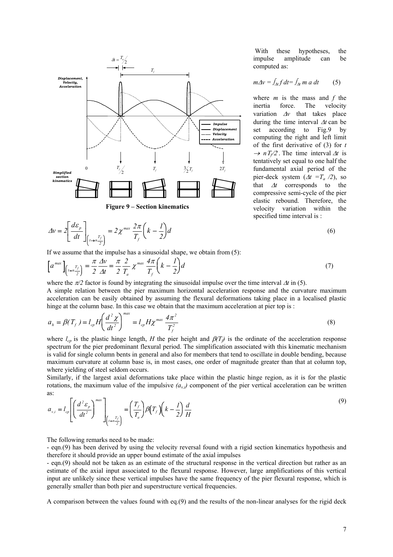

$$
\Delta v = 2 \left[ \frac{d\varepsilon_p}{dt} \right]_{\left(t \to \frac{T_f}{2}\right)} = 2 \chi^{\text{max}} \frac{2\pi}{T_f} \left( k - \frac{I}{2} \right) d \tag{6}
$$

 With these hypotheses, the impulse amplitude can be computed as:

$$
m\Delta v = \int_{\Delta t} f \, dt = \int_{\Delta t} m \, a \, dt \qquad (5)
$$

where *m* is the mass and *f* the inertia force. The velocity variation ∆*v* that takes place during the time interval ∆*t* can be set according to Fig.9 by computing the right and left limit of the first derivative of (3) for *t*  <sup>→</sup> *n*<sup>Τ</sup>*f*/2 . The time interval <sup>∆</sup>*t* is tentatively set equal to one half the fundamental axial period of the pier-deck system  $(\Delta t = T_a / 2)$ , so that ∆*t* corresponds to the compressive semi-cycle of the pier elastic rebound. Therefore, the velocity variation within the specified time interval is :

$$
^{(6)}
$$

If we assume that the impulse has a sinusoidal shape, we obtain from (5):

$$
\left[a^{max}\right]_{\left(\frac{r}{2}\right)} = \frac{\pi}{2} \frac{\Delta v}{\Delta t} = \frac{\pi}{2} \frac{2}{T_a} \chi^{max} \frac{4\pi}{T_f} \left(k - \frac{I}{2}\right) d\tag{7}
$$

where the  $\pi/2$  factor is found by integrating the sinusoidal impulse over the time interval  $\Delta t$  in (5). A simple relation between the pier maximum horizontal acceleration response and the curvature maximum acceleration can be easily obtained by assuming the flexural deformations taking place in a localised plastic hinge at the column base. In this case we obtain that the maximum acceleration at pier top is:

$$
a_{h} = \beta(T_{f}) = l_{cp} H \left(\frac{d^{2} \chi}{dt^{2}}\right)^{max} = l_{cp} H \chi^{max} \frac{4\pi^{2}}{T_{f}^{2}}
$$
\n(8)

where  $l_{cp}$  is the plastic hinge length, *H* the pier height and  $\beta(T_f)$  is the ordinate of the acceleration response spectrum for the pier predominant flexural period. The simplification associated with this kinematic mechanism is valid for single column bents in general and also for members that tend to oscillate in double bending, because maximum curvature at column base is, in most cases, one order of magnitude greater than that at column top, where yielding of steel seldom occurs.

Similarly, if the largest axial deformations take place within the plastic hinge region, as it is for the plastic rotations, the maximum value of the impulsive  $(a_{v,i})$  component of the pier vertical acceleration can be written as:

$$
a_{v,i} = l_{cp} \left[ \left( \frac{d^2 \varepsilon_p}{dt^2} \right)^{max} \right]_{\left(t = n \frac{T_f}{2}\right)} = \left( \frac{T_f}{T_a} \right) \beta \left( T_f \right) \left( k - \frac{I}{2} \right) \frac{d}{H}
$$
\n<sup>(9)</sup>

The following remarks need to be made:

- eqn.(9) has been derived by using the velocity reversal found with a rigid section kinematics hypothesis and therefore it should provide an upper bound estimate of the axial impulses

- eqn.(9) should not be taken as an estimate of the structural response in the vertical direction but rather as an estimate of the axial input associated to the flexural response. However, large amplifications of this vertical input are unlikely since these vertical impulses have the same frequency of the pier flexural response, which is generally smaller than both pier and superstructure vertical frequencies.

A comparison between the values found with eq.(9) and the results of the non-linear analyses for the rigid deck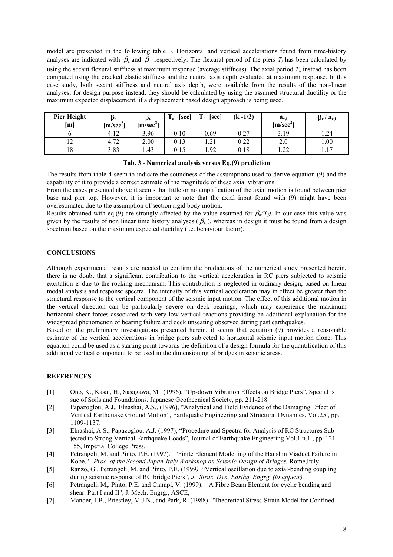model are presented in the following table 3. Horizontal and vertical accelerations found from time-history analyses are indicated with  $\beta_h$  and  $\beta_v$  respectively. The flexural period of the piers  $T_f$  has been calculated by using the secant flexural stiffness at maximum response (average stiffness). The axial period  $T_a$  instead has been computed using the cracked elastic stiffness and the neutral axis depth evaluated at maximum response. In this case study, both secant stiffness and neutral axis depth, were available from the results of the non-linear analyses; for design purpose instead, they should be calculated by using the assumed structural ductility or the maximum expected displacement, if a displacement based design approach is being used.

| <b>Pier Height</b><br>[m] | $\beta_{h}$<br>[m/sec <sup>2</sup> ] | $\mathbf{p}_{\mathbf{v}}$<br>[m/sec <sup>2</sup> ] | m<br>[sec]<br>ı, | $T_f$<br>[sec]          | $(k - 1/2)$ | $a_{v,i}$<br>$[m/sec^{\prime}]$ | $\beta_{\rm v}/a_{\rm v,i}$ |
|---------------------------|--------------------------------------|----------------------------------------------------|------------------|-------------------------|-------------|---------------------------------|-----------------------------|
|                           | 4.12                                 | 3.96                                               | 0.10             | 0.69                    | 0.27        | 3.19                            | 1.24                        |
| ⊥∠                        | 4.72                                 | 2.00                                               | 0.13             | $\mathcal{D}$ 1<br>1.41 | 0.22        | 2.0                             | 00.1                        |
| 18                        | 3.83                                 | 1.43                                               | 0.15             | .92                     | 0.18        | ററ<br>1.44                      | 17                          |

**Tab. 3 - Numerical analysis versus Eq.(9) prediction** 

The results from table 4 seem to indicate the soundness of the assumptions used to derive equation (9) and the capability of it to provide a correct estimate of the magnitude of these axial vibrations.

From the cases presented above it seems that little or no amplification of the axial motion is found between pier base and pier top. However, it is important to note that the axial input found with (9) might have been overestimated due to the assumption of section rigid body motion.

Results obtained with eq.(9) are strongly affected by the value assumed for  $\beta_h(T)$ . In our case this value was given by the results of non linear time history analyses  $(\beta_h)$ , whereas in design it must be found from a design spectrum based on the maximum expected ductility (i.e. behaviour factor).

## **CONCLUSIONS**

Although experimental results are needed to confirm the predictions of the numerical study presented herein, there is no doubt that a significant contribution to the vertical acceleration in RC piers subjected to seismic excitation is due to the rocking mechanism. This contribution is neglected in ordinary design, based on linear modal analysis and response spectra. The intensity of this vertical acceleration may in effect be greater than the structural response to the vertical component of the seismic input motion. The effect of this additional motion in the vertical direction can be particularly severe on deck bearings, which may experience the maximum horizontal shear forces associated with very low vertical reactions providing an additional explanation for the widespread phenomenon of bearing failure and deck unseating observed during past earthquakes.

Based on the preliminary investigations presented herein, it seems that equation (9) provides a reasonable estimate of the vertical accelerations in bridge piers subjected to horizontal seismic input motion alone. This equation could be used as a starting point towards the definition of a design formula for the quantification of this additional vertical component to be used in the dimensioning of bridges in seismic areas.

# **REFERENCES**

- [1] Ono, K., Kasai, H., Sasagawa, M. (1996), "Up-down Vibration Effects on Bridge Piers", Special is sue of Soils and Foundations, Japanese Geothecnical Society, pp. 211-218.
- [2] Papazoglou, A.J., Elnashai, A.S., (1996), "Analytical and Field Evidence of the Damaging Effect of Vertical Earthquake Ground Motion", Earthquake Engineering and Structural Dynamics, Vol.25., pp. 1109-1137.
- [3] Elnashai, A.S., Papazoglou, A.J. (1997), "Procedure and Spectra for Analysis of RC Structures Sub jected to Strong Vertical Earthquake Loads", Journal of Earthquake Engineering Vol.1 n.1 , pp. 121- 155, Imperial College Press.
- [4] Petrangeli, M. and Pinto, P.E. (1997). "Finite Element Modelling of the Hanshin Viaduct Failure in Kobe." *Proc. of the Second Japan-Italy Workshop on Seismic Design of Bridges,* Rome,Italy.
- [5] Ranzo, G., Petrangeli, M. and Pinto, P.E. (1999*).* "Vertical oscillation due to axial-bending coupling during seismic response of RC bridge Piers"*, J. Struc. Dyn. Earthq. Engrg. (to appear)*
- [6] Petrangeli, M,. Pinto, P.E. and Ciampi, V. (1999). "A Fibre Beam Element for cyclic bending and shear. Part I and II", J. Mech. Engrg., ASCE,
- [7] Mander, J.B., Priestley, M.J.N., and Park, R. (1988). "Theoretical Stress-Strain Model for Confined